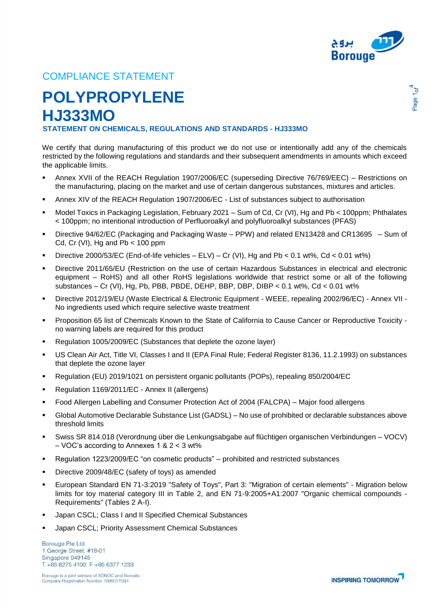

age 1<sub>of</sub>

## COMPLIANCE STATEMENT

## **POLYPROPYLENE HJ333MO**

**STATEMENT ON CHEMICALS, REGULATIONS AND STANDARDS - HJ333MO**

We certify that during manufacturing of this product we do not use or intentionally add any of the chemicals restricted by the following regulations and standards and their subsequent amendments in amounts which exceed the applicable limits.

- Annex XVII of the REACH Regulation 1907/2006/EC (superseding Directive 76/769/EEC) Restrictions on the manufacturing, placing on the market and use of certain dangerous substances, mixtures and articles.
- Annex XIV of the REACH Regulation 1907/2006/EC List of substances subject to authorisation
- Model Toxics in Packaging Legislation, February 2021 Sum of Cd, Cr (VI), Hg and Pb < 100ppm; Phthalates < 100ppm; no intentional introduction of Perfluoroalkyl and polyfluoroalkyl substances (PFAS)
- Directive 94/62/EC (Packaging and Packaging Waste PPW) and related EN13428 and CR13695 Sum of Cd, Cr (VI), Hg and  $Pb < 100$  ppm
- Directive 2000/53/EC (End-of-life vehicles ELV) Cr (VI), Hg and Pb < 0.1 wt%, Cd < 0.01 wt%)
- Directive 2011/65/EU (Restriction on the use of certain Hazardous Substances in electrical and electronic equipment – RoHS) and all other RoHS legislations worldwide that restrict some or all of the following substances – Cr (VI), Hg, Pb, PBB, PBDE, DEHP, BBP, DBP, DIBP <  $0.1$  wt%, Cd <  $0.01$  wt%
- Directive 2012/19/EU (Waste Electrical & Electronic Equipment WEEE, repealing 2002/96/EC) Annex VII No ingredients used which require selective waste treatment
- Proposition 65 list of Chemicals Known to the State of California to Cause Cancer or Reproductive Toxicity no warning labels are required for this product
- Regulation 1005/2009/EC (Substances that deplete the ozone layer)
- US Clean Air Act, Title VI, Classes I and II (EPA Final Rule; Federal Register 8136, 11.2.1993) on substances that deplete the ozone layer
- Regulation (EU) 2019/1021 on persistent organic pollutants (POPs), repealing 850/2004/EC
- Regulation 1169/2011/EC Annex II (allergens)
- Food Allergen Labelling and Consumer Protection Act of 2004 (FALCPA) Major food allergens
- Global Automotive Declarable Substance List (GADSL) No use of prohibited or declarable substances above threshold limits
- Swiss SR 814.018 (Verordnung über die Lenkungsabgabe auf flüchtigen organischen Verbindungen VOCV) – VOC's according to Annexes 1 & 2 < 3 wt%
- Regulation 1223/2009/EC "on cosmetic products" prohibited and restricted substances
- **Directive 2009/48/EC (safety of toys) as amended**
- European Standard EN 71-3:2019 "Safety of Toys", Part 3: "Migration of certain elements" Migration below limits for toy material category III in Table 2, and EN 71-9:2005+A1:2007 "Organic chemical compounds - Requirements" (Tables 2 A-I).
- Japan CSCL; Class I and II Specified Chemical Substances
- **Japan CSCL; Priority Assessment Chemical Substances**

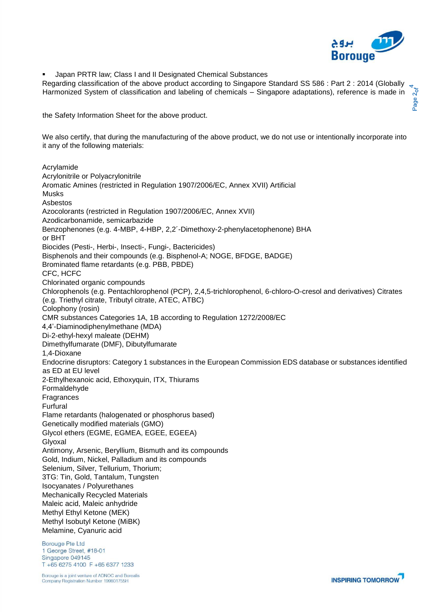

**Japan PRTR law; Class I and II Designated Chemical Substances** 

Regarding classification of the above product according to Singapore Standard SS 586 : Part 2 : 2014 (Globally Harmonized System of classification and labeling of chemicals – Singapore adaptations), reference is made in

the Safety Information Sheet for the above product.

We also certify, that during the manufacturing of the above product, we do not use or intentionally incorporate into it any of the following materials:

Acrylamide Acrylonitrile or Polyacrylonitrile Aromatic Amines (restricted in Regulation 1907/2006/EC, Annex XVII) Artificial Musks Asbestos Azocolorants (restricted in Regulation 1907/2006/EC, Annex XVII) Azodicarbonamide, semicarbazide Benzophenones (e.g. 4-MBP, 4-HBP, 2,2´-Dimethoxy-2-phenylacetophenone) BHA or BHT Biocides (Pesti-, Herbi-, Insecti-, Fungi-, Bactericides) Bisphenols and their compounds (e.g. Bisphenol-A; NOGE, BFDGE, BADGE) Brominated flame retardants (e.g. PBB, PBDE) CFC, HCFC Chlorinated organic compounds Chlorophenols (e.g. Pentachlorophenol (PCP), 2,4,5-trichlorophenol, 6-chloro-O-cresol and derivatives) Citrates (e.g. Triethyl citrate, Tributyl citrate, ATEC, ATBC) Colophony (rosin) CMR substances Categories 1A, 1B according to Regulation 1272/2008/EC 4,4'-Diaminodiphenylmethane (MDA) Di-2-ethyl-hexyl maleate (DEHM) Dimethylfumarate (DMF), Dibutylfumarate 1,4-Dioxane Endocrine disruptors: Category 1 substances in the European Commission EDS database or substances identified as ED at EU level 2-Ethylhexanoic acid, Ethoxyquin, ITX, Thiurams Formaldehyde Fragrances Furfural Flame retardants (halogenated or phosphorus based) Genetically modified materials (GMO) Glycol ethers (EGME, EGMEA, EGEE, EGEEA) Glyoxal Antimony, Arsenic, Beryllium, Bismuth and its compounds Gold, Indium, Nickel, Palladium and its compounds Selenium, Silver, Tellurium, Thorium; 3TG: Tin, Gold, Tantalum, Tungsten Isocyanates / Polyurethanes Mechanically Recycled Materials Maleic acid, Maleic anhydride Methyl Ethyl Ketone (MEK) Methyl Isobutyl Ketone (MiBK) Melamine, Cyanuric acid

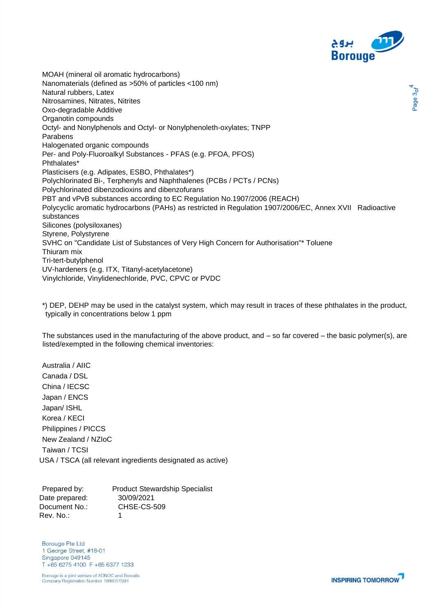

age 3 $\sigma$ f

MOAH (mineral oil aromatic hydrocarbons) Nanomaterials (defined as >50% of particles <100 nm) Natural rubbers, Latex Nitrosamines, Nitrates, Nitrites Oxo-degradable Additive Organotin compounds Octyl- and Nonylphenols and Octyl- or Nonylphenoleth-oxylates; TNPP Parabens Halogenated organic compounds Per- and Poly-Fluoroalkyl Substances - PFAS (e.g. PFOA, PFOS) Phthalates\* Plasticisers (e.g. Adipates, ESBO, Phthalates\*) Polychlorinated Bi-, Terphenyls and Naphthalenes (PCBs / PCTs / PCNs) Polychlorinated dibenzodioxins and dibenzofurans PBT and vPvB substances according to EC Regulation No.1907/2006 (REACH) Polycyclic aromatic hydrocarbons (PAHs) as restricted in Regulation 1907/2006/EC, Annex XVII Radioactive substances Silicones (polysiloxanes) Styrene, Polystyrene SVHC on "Candidate List of Substances of Very High Concern for Authorisation"\* Toluene Thiuram mix Tri-tert-butylphenol UV-hardeners (e.g. ITX, Titanyl-acetylacetone) Vinylchloride, Vinylidenechloride, PVC, CPVC or PVDC

\*) DEP, DEHP may be used in the catalyst system, which may result in traces of these phthalates in the product, typically in concentrations below 1 ppm

The substances used in the manufacturing of the above product, and – so far covered – the basic polymer(s), are listed/exempted in the following chemical inventories:

Australia / AIIC Canada / DSL China / IECSC Japan / ENCS Japan/ ISHL Korea / KECI Philippines / PICCS New Zealand / NZIoC Taiwan / TCSI USA / TSCA (all relevant ingredients designated as active)

Prepared by: Product Stewardship Specialist Date prepared: 30/09/2021 Document No.: CHSE-CS-509 Rev. No.: 1